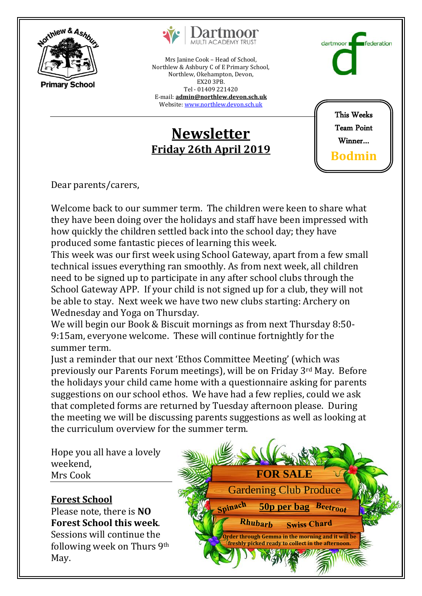



Mrs Janine Cook – Head of School, Northlew & Ashbury C of E Primary School, Northlew, Okehampton, Devon, EX20 3PB. Tel - 01409 221420 E-mail: **[admin@northlew.devon.sch.uk](mailto:admin@northlew.devon.sch.uk)**

Website[: www.northlew.devon.sch.uk](http://www.northlew.devon.sch.uk/)

## **Newsletter Friday 26th April 2019**

This Weeks Team Point Winner… **Bodmin**

dartmoor

*<u><u>Ederation</u>*</u>

Dear parents/carers,

Welcome back to our summer term. The children were keen to share what they have been doing over the holidays and staff have been impressed with how quickly the children settled back into the school day; they have produced some fantastic pieces of learning this week.

This week was our first week using School Gateway, apart from a few small technical issues everything ran smoothly. As from next week, all children need to be signed up to participate in any after school clubs through the School Gateway APP. If your child is not signed up for a club, they will not be able to stay. Next week we have two new clubs starting: Archery on Wednesday and Yoga on Thursday.

We will begin our Book & Biscuit mornings as from next Thursday 8:50- 9:15am, everyone welcome. These will continue fortnightly for the summer term.

Just a reminder that our next 'Ethos Committee Meeting' (which was previously our Parents Forum meetings), will be on Friday 3rd May. Before the holidays your child came home with a questionnaire asking for parents suggestions on our school ethos. We have had a few replies, could we ask that completed forms are returned by Tuesday afternoon please. During the meeting we will be discussing parents suggestions as well as looking at the curriculum overview for the summer term.

Hope you all have a lovely weekend, Mrs Cook

## **Forest School**

Please note, there is **NO Forest School this week**. Sessions will continue the following week on Thurs 9th May.

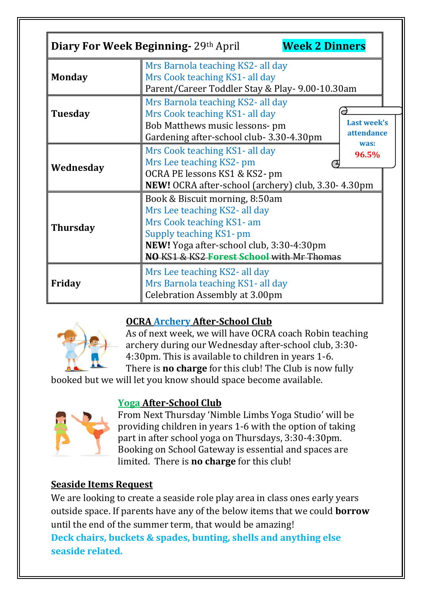|                 | Diary For Week Beginning- 29th April<br><b>Week 2 Dinners</b>                                                                                                                                                   |
|-----------------|-----------------------------------------------------------------------------------------------------------------------------------------------------------------------------------------------------------------|
| <b>Monday</b>   | Mrs Barnola teaching KS2- all day<br>Mrs Cook teaching KS1- all day<br>Parent/Career Toddler Stay & Play- 9.00-10.30am                                                                                          |
| <b>Tuesday</b>  | Mrs Barnola teaching KS2- all day<br>Mrs Cook teaching KS1- all day<br><b>Last week's</b><br>Bob Matthews music lessons- pm<br>attendance<br>Gardening after-school club-3.30-4.30pm                            |
| Wednesday       | was:<br>Mrs Cook teaching KS1- all day<br>96.5%<br>Mrs Lee teaching KS2-pm<br>OCRA PE lessons KS1 & KS2-pm<br>NEW! OCRA after-school (archery) club, 3.30-4.30pm                                                |
| <b>Thursday</b> | Book & Biscuit morning, 8:50am<br>Mrs Lee teaching KS2- all day<br>Mrs Cook teaching KS1- am<br>Supply teaching KS1-pm<br>NEW! Yoga after-school club, 3:30-4:30pm<br>NO KS1 & KS2 Forest School with Mr Thomas |
| Friday          | Mrs Lee teaching KS2- all day<br>Mrs Barnola teaching KS1- all day<br>Celebration Assembly at 3.00pm                                                                                                            |

# **OCRA Archery After-School Club**

As of next week, we will have OCRA coach Robin teaching archery during our Wednesday after-school club, 3:30- 4:30pm. This is available to children in years 1-6. There is **no charge** for this club! The Club is now fully

booked but we will let you know should space become available.



### **Yoga After-School Club**

From Next Thursday 'Nimble Limbs Yoga Studio' will be providing children in years 1-6 with the option of taking part in after school yoga on Thursdays, 3:30-4:30pm. Booking on School Gateway is essential and spaces are limited. There is **no charge** for this club!

## **Seaside Items Request**

We are looking to create a seaside role play area in class ones early years outside space. If parents have any of the below items that we could **borrow** until the end of the summer term, that would be amazing! **Deck chairs, buckets & spades, bunting, shells and anything else seaside related.**